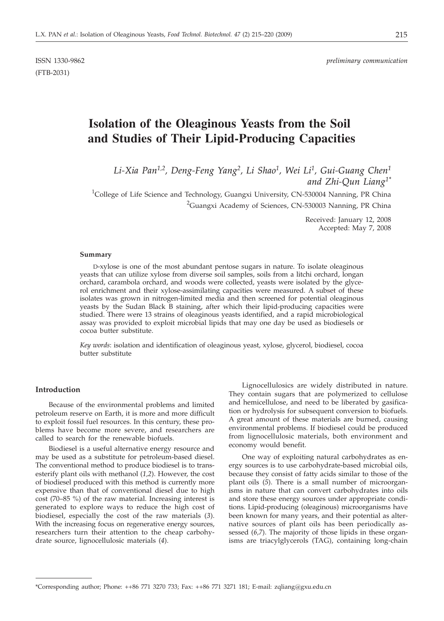(FTB-2031)

# **Isolation of the Oleaginous Yeasts from the Soil and Studies of Their Lipid-Producing Capacities**

*Li-Xia Pan1,2, Deng-Feng Yang2, Li Shao1, Wei Li1, Gui-Guang Chen1 and Zhi-Qun Liang1\**

<sup>1</sup>College of Life Science and Technology, Guangxi University, CN-530004 Nanning, PR China <sup>2</sup>Guangxi Academy of Sciences, CN-530003 Nanning, PR China

> Received: January 12, 2008 Accepted: May 7, 2008

#### **Summary**

D-xylose is one of the most abundant pentose sugars in nature. To isolate oleaginous yeasts that can utilize xylose from diverse soil samples, soils from a litchi orchard, longan orchard, carambola orchard, and woods were collected, yeasts were isolated by the glycerol enrichment and their xylose-assimilating capacities were measured. A subset of these isolates was grown in nitrogen-limited media and then screened for potential oleaginous yeasts by the Sudan Black B staining, after which their lipid-producing capacities were studied. There were 13 strains of oleaginous yeasts identified, and a rapid microbiological assay was provided to exploit microbial lipids that may one day be used as biodiesels or cocoa butter substitute.

*Key words*: isolation and identification of oleaginous yeast*,* xylose*,* glycerol*,* biodiesel*,* cocoa butter substitute

#### **Introduction**

Because of the environmental problems and limited petroleum reserve on Earth, it is more and more difficult to exploit fossil fuel resources. In this century, these problems have become more severe, and researchers are called to search for the renewable biofuels.

Biodiesel is a useful alternative energy resource and may be used as a substitute for petroleum-based diesel. The conventional method to produce biodiesel is to transesterify plant oils with methanol (*1,2*). However, the cost of biodiesel produced with this method is currently more expensive than that of conventional diesel due to high cost (70–85 %) of the raw material. Increasing interest is generated to explore ways to reduce the high cost of biodiesel, especially the cost of the raw materials (*3*). With the increasing focus on regenerative energy sources, researchers turn their attention to the cheap carbohydrate source, lignocellulosic materials (*4*).

Lignocellulosics are widely distributed in nature. They contain sugars that are polymerized to cellulose and hemicellulose, and need to be liberated by gasification or hydrolysis for subsequent conversion to biofuels. A great amount of these materials are burned, causing environmental problems. If biodiesel could be produced from lignocellulosic materials, both environment and economy would benefit.

One way of exploiting natural carbohydrates as energy sources is to use carbohydrate-based microbial oils, because they consist of fatty acids similar to those of the plant oils (*5*). There is a small number of microorganisms in nature that can convert carbohydrates into oils and store these energy sources under appropriate conditions. Lipid-producing (oleaginous) microorganisms have been known for many years, and their potential as alternative sources of plant oils has been periodically assessed (*6,7*). The majority of those lipids in these organisms are triacylglycerols (TAG), containing long-chain

<sup>\*</sup>Corresponding author; Phone: ++86 771 3270 733; Fax: ++86 771 3271 181; E-mail: zqliang@gxu.edu.cn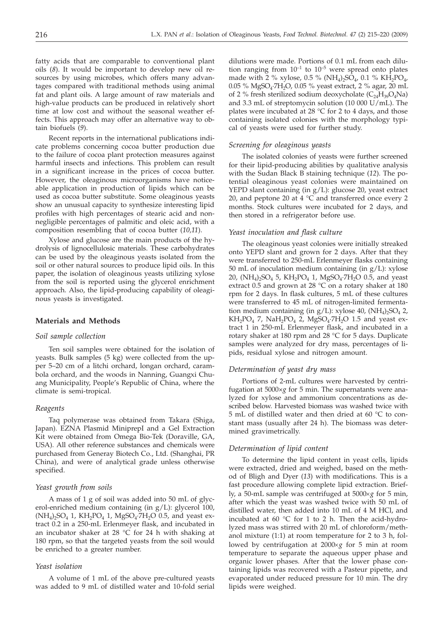fatty acids that are comparable to conventional plant oils (*8*). It would be important to develop new oil resources by using microbes, which offers many advantages compared with traditional methods using animal fat and plant oils. A large amount of raw materials and high-value products can be produced in relatively short time at low cost and without the seasonal weather effects. This approach may offer an alternative way to obtain biofuels (*9*).

Recent reports in the international publications indicate problems concerning cocoa butter production due to the failure of cocoa plant protection measures against harmful insects and infections. This problem can result in a significant increase in the prices of cocoa butter. However, the oleaginous microorganisms have noticeable application in production of lipids which can be used as cocoa butter substitute. Some oleaginous yeasts show an unusual capacity to synthesize interesting lipid profiles with high percentages of stearic acid and nonnegligible percentages of palmitic and oleic acid, with a composition resembling that of cocoa butter (*10,11*).

Xylose and glucose are the main products of the hydrolysis of lignocellulosic materials. These carbohydrates can be used by the oleaginous yeasts isolated from the soil or other natural sources to produce lipid oils. In this paper, the isolation of oleaginous yeasts utilizing xylose from the soil is reported using the glycerol enrichment approach. Also, the lipid-producing capability of oleaginous yeasts is investigated.

## **Materials and Methods**

#### *Soil sample collection*

Ten soil samples were obtained for the isolation of yeasts. Bulk samples (5 kg) were collected from the upper 5–20 cm of a litchi orchard, longan orchard, carambola orchard, and the woods in Nanning, Guangxi Chuang Municipality, People's Republic of China, where the climate is semi-tropical.

#### *Reagents*

Taq polymerase was obtained from Takara (Shiga, Japan). EZNA Plasmid MiniprepI and a Gel Extraction Kit were obtained from Omega Bio-Tek (Doraville, GA, USA). All other reference substances and chemicals were purchased from Generay Biotech Co., Ltd. (Shanghai, PR China), and were of analytical grade unless otherwise specified.

#### *Yeast growth from soils*

A mass of 1 g of soil was added into 50 mL of glycerol-enriched medium containing (in g/L): glycerol 100,  $(NH_4)$ <sub>2</sub>SO<sub>4</sub> 1, KH<sub>2</sub>PO<sub>4</sub> 1, MgSO<sub>4</sub>·7H<sub>2</sub>O 0.5, and yeast extract 0.2 in a 250-mL Erlenmeyer flask, and incubated in an incubator shaker at 28  $\degree$ C for 24 h with shaking at 180 rpm, so that the targeted yeasts from the soil would be enriched to a greater number.

## *Yeast isolation*

A volume of 1 mL of the above pre-cultured yeasts was added to 9 mL of distilled water and 10-fold serial

dilutions were made. Portions of 0.1 mL from each dilution ranging from  $10^{-1}$  to  $10^{-5}$  were spread onto plates made with 2 % xylose, 0.5 % (NH<sub>4</sub>)<sub>2</sub>SO<sub>4</sub>, 0.1 % KH<sub>2</sub>PO<sub>4</sub>, 0.05 % MgSO<sub>4</sub>·7H<sub>2</sub>O, 0.05 % yeast extract, 2 % agar, 20 mL of 2 % fresh sterilized sodium deoxycholate  $(C_{24}H_{39}O_4Na)$ and 3.3 mL of streptomycin solution (10 000 U/mL). The plates were incubated at 28  $\degree$ C for 2 to 4 days, and those containing isolated colonies with the morphology typical of yeasts were used for further study.

## *Screening for oleaginous yeasts*

The isolated colonies of yeasts were further screened for their lipid-producing abilities by qualitative analysis with the Sudan Black B staining technique (*12*). The potential oleaginous yeast colonies were maintained on YEPD slant containing (in g/L): glucose 20, yeast extract 20, and peptone 20 at 4  $^{\circ}$ C and transferred once every 2 months. Stock cultures were incubated for 2 days, and then stored in a refrigerator before use.

## *Yeast inoculation and flask culture*

The oleaginous yeast colonies were initially streaked onto YEPD slant and grown for 2 days. After that they were transferred to 250-mL Erlenmeyer flasks containing 50 mL of inoculation medium containing (in g/L): xylose 20, (NH<sub>4</sub>)<sub>2</sub>SO<sub>4</sub> 5, KH<sub>2</sub>PO<sub>4</sub> 1, MgSO<sub>4</sub>·7H<sub>2</sub>O 0.5, and yeast extract 0.5 and grown at 28 °C on a rotary shaker at 180 rpm for 2 days. In flask cultures, 5 mL of these cultures were transferred to 45 mL of nitrogen-limited fermentation medium containing (in  $g/L$ ): xylose 40, (NH<sub>4</sub>)<sub>2</sub>SO<sub>4</sub> 2,  $KH_2PO_4$  7,  $NaH_2PO_4$  2,  $MgSO_4$ ·7 $H_2O$  1.5 and yeast extract 1 in 250-mL Erlenmeyer flask, and incubated in a rotary shaker at 180 rpm and 28 °C for 5 days. Duplicate samples were analyzed for dry mass, percentages of lipids, residual xylose and nitrogen amount.

## *Determination of yeast dry mass*

Portions of 2-mL cultures were harvested by centrifugation at 5000×*g* for 5 min. The supernatants were analyzed for xylose and ammonium concentrations as described below. Harvested biomass was washed twice with 5 mL of distilled water and then dried at 60 °C to constant mass (usually after 24 h). The biomass was determined gravimetrically.

#### *Determination of lipid content*

To determine the lipid content in yeast cells, lipids were extracted, dried and weighed, based on the method of Bligh and Dyer (*13*) with modifications. This is a fast procedure allowing complete lipid extraction. Briefly, a 50-mL sample was centrifuged at  $5000 \times g$  for 5 min, after which the yeast was washed twice with 50 mL of distilled water, then added into 10 mL of 4 M HCl, and incubated at 60  $°C$  for 1 to 2 h. Then the acid-hydrolyzed mass was stirred with 20 mL of chloroform/methanol mixture (1:1) at room temperature for 2 to 3 h, followed by centrifugation at 2000×g for 5 min at room temperature to separate the aqueous upper phase and organic lower phases. After that the lower phase containing lipids was recovered with a Pasteur pipette, and evaporated under reduced pressure for 10 min. The dry lipids were weighed.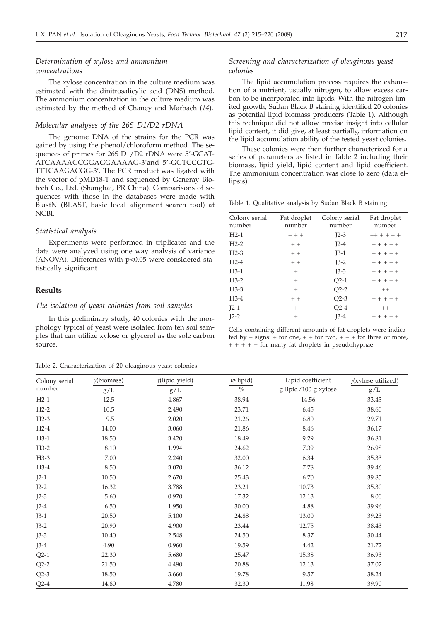# *Determination of xylose and ammonium concentrations*

The xylose concentration in the culture medium was estimated with the dinitrosalicylic acid (DNS) method. The ammonium concentration in the culture medium was estimated by the method of Chaney and Marbach (*14*).

#### *Molecular analyses of the 26S D1/D2 rDNA*

The genome DNA of the strains for the PCR was gained by using the phenol/chloroform method. The sequences of primes for 26S D1/D2 rDNA were 5'-GCAT-ATCAAAAGCGGAGGAAAAG-3'and 5'-GGTCCGTG-TTTCAAGACGG-3'. The PCR product was ligated with the vector of pMD18-T and sequenced by Generay Biotech Co., Ltd. (Shanghai, PR China). Comparisons of sequences with those in the databases were made with BlastN (BLAST, basic local alignment search tool) at NCBI.

#### *Statistical analysis*

Experiments were performed in triplicates and the data were analyzed using one way analysis of variance (ANOVA). Differences with  $p<0.05$  were considered statistically significant.

## **Results**

#### *The isolation of yeast colonies from soil samples*

In this preliminary study, 40 colonies with the morphology typical of yeast were isolated from ten soil samples that can utilize xylose or glycerol as the sole carbon source.

#### Table 2. Characterization of 20 oleaginous yeast colonies

## *Screening and characterization of oleaginous yeast colonies*

The lipid accumulation process requires the exhaustion of a nutrient, usually nitrogen, to allow excess carbon to be incorporated into lipids. With the nitrogen-limited growth, Sudan Black B staining identified 20 colonies as potential lipid biomass producers (Table 1). Although this technique did not allow precise insight into cellular lipid content, it did give, at least partially, information on the lipid accumulation ability of the tested yeast colonies.

These colonies were then further characterized for a series of parameters as listed in Table 2 including their biomass, lipid yield, lipid content and lipid coefficient. The ammonium concentration was close to zero (data ellipsis).

Table 1. Qualitative analysis by Sudan Black B staining

| Colony serial<br>number | Fat droplet<br>number | Colony serial<br>number | Fat droplet<br>number |
|-------------------------|-----------------------|-------------------------|-----------------------|
| $H2-1$                  | $+ + +$               | $I2-3$                  | $++++++$              |
| $H2-2$                  | $+ +$                 | $I2-4$                  | $+ + + + +$           |
| $H2-3$                  | $+ +$                 | $J3-1$                  | $+ + + + + +$         |
| $H2-4$                  | $+ +$                 | $J3-2$                  | $+ + + + +$           |
| H3-1                    | $^{+}$                | $J3-3$                  | $+ + + + +$           |
| $H3-2$                  | $^{+}$                | $Q2-1$                  | $+ + + + +$           |
| $H3-3$                  | $^{+}$                | $Q2-2$                  | $++$                  |
| H3-4                    | $+ +$                 | $Q2-3$                  | $+ + + + + +$         |
| $J2-1$                  | $^{+}$                | $Q2-4$                  | $++$                  |
| $I2-2$                  | $\overline{+}$        | $J3-4$                  | $+ + + + +$           |
|                         |                       |                         |                       |

Cells containing different amounts of fat droplets were indicated by  $+$  signs:  $+$  for one,  $+$   $+$  for two,  $+$   $+$   $+$  for three or more,  $++++$  tor many fat droplets in pseudohyphae

| Colony serial | $\gamma$ (biomass) | $y$ (lipid yield) | $w$ (lipid)   | Lipid coefficient    | $y(xy)$ ose utilized) |
|---------------|--------------------|-------------------|---------------|----------------------|-----------------------|
| number        | g/L                | g/L               | $\frac{0}{0}$ | g lipid/100 g xylose | g/L                   |
| $H2-1$        | 12.5               | 4.867             | 38.94         | 14.56                | 33.43                 |
| $H2-2$        | 10.5               | 2.490             | 23.71         | 6.45                 | 38.60                 |
| $H2-3$        | 9.5                | 2.020             | 21.26         | 6.80                 | 29.71                 |
| $H2-4$        | 14.00              | 3.060             | 21.86         | 8.46                 | 36.17                 |
| $H3-1$        | 18.50              | 3.420             | 18.49         | 9.29                 | 36.81                 |
| $H3-2$        | 8.10               | 1.994             | 24.62         | 7.39                 | 26.98                 |
| $H3-3$        | 7.00               | 2.240             | 32.00         | 6.34                 | 35.33                 |
| $H3-4$        | 8.50               | 3.070             | 36.12         | 7.78                 | 39.46                 |
| $J2-1$        | 10.50              | 2.670             | 25.43         | 6.70                 | 39.85                 |
| $J2-2$        | 16.32              | 3.788             | 23.21         | 10.73                | 35.30                 |
| $I2-3$        | 5.60               | 0.970             | 17.32         | 12.13                | $8.00\,$              |
| $I2-4$        | 6.50               | 1.950             | 30.00         | 4.88                 | 39.96                 |
| $J3-1$        | 20.50              | 5.100             | 24.88         | 13.00                | 39.23                 |
| $J3-2$        | 20.90              | 4.900             | 23.44         | 12.75                | 38.43                 |
| $J3-3$        | 10.40              | 2.548             | 24.50         | 8.37                 | 30.44                 |
| $J3-4$        | 4.90               | 0.960             | 19.59         | 4.42                 | 21.72                 |
| $Q2-1$        | 22.30              | 5.680             | 25.47         | 15.38                | 36.93                 |
| $Q2-2$        | 21.50              | 4.490             | 20.88         | 12.13                | 37.02                 |
| $Q2-3$        | 18.50              | 3.660             | 19.78         | 9.57                 | 38.24                 |
| $Q$ 2-4       | 14.80              | 4.780             | 32.30         | 11.98                | 39.90                 |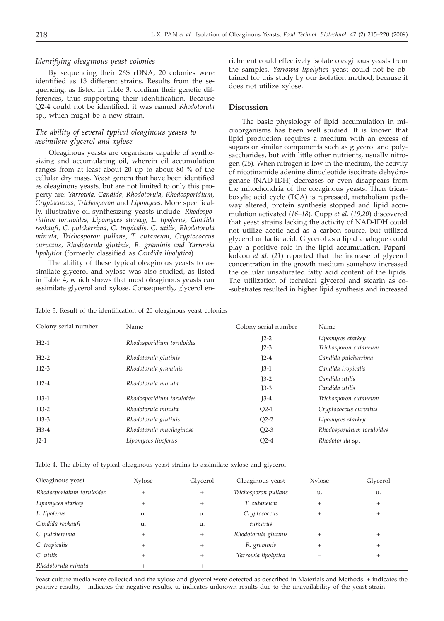## *Identifying oleaginous yeast colonies*

By sequencing their 26S rDNA, 20 colonies were identified as 13 different strains. Results from the sequencing, as listed in Table 3, confirm their genetic differences, thus supporting their identification. Because Q2-4 could not be identified, it was named *Rhodotorula* sp., which might be a new strain.

# *The ability of several typical oleaginous yeasts to assimilate glycerol and xylose*

Oleaginous yeasts are organisms capable of synthesizing and accumulating oil, wherein oil accumulation ranges from at least about 20 up to about 80 % of the cellular dry mass. Yeast genera that have been identified as oleaginous yeasts, but are not limited to only this property are: *Yarrowia, Candida, Rhodotorula, Rhodosporidium, Cryptococcus, Trichosporon* and *Lipomyces.* More specifically, illustrative oil-synthesizing yeasts include: *Rhodosporidium toruloides, Lipomyces starkey, L. lipoferus, Candida revkaufi, C. pulcherrima, C. tropicalis, C. utilis, Rhodotorula minuta, Trichosporon pullans, T. cutaneum, Cryptococcus curvatus, Rhodotorula glutinis, R. graminis and Yarrowia lipolytica* (formerly classified as *Candida lipolytica*).

The ability of these typical oleaginous yeasts to assimilate glycerol and xylose was also studied, as listed in Table 4, which shows that most oleaginous yeasts can assimilate glycerol and xylose. Consequently, glycerol enrichment could effectively isolate oleaginous yeasts from the samples. *Yarrowia lipolytica* yeast could not be obtained for this study by our isolation method, because it does not utilize xylose.

## **Discussion**

The basic physiology of lipid accumulation in microorganisms has been well studied. It is known that lipid production requires a medium with an excess of sugars or similar components such as glycerol and polysaccharides, but with little other nutrients, usually nitrogen (*15*). When nitrogen is low in the medium, the activity of nicotinamide adenine dinucleotide isocitrate dehydrogenase (NAD-IDH) decreases or even disappears from the mitochondria of the oleaginous yeasts. Then tricarboxylic acid cycle (TCA) is repressed, metabolism pathway altered, protein synthesis stopped and lipid accumulation activated (*16–18*). Cupp *et al.* (*19,20*) discovered that yeast strains lacking the activity of NAD-IDH could not utilize acetic acid as a carbon source, but utilized glycerol or lactic acid. Glycerol as a lipid analogue could play a positive role in the lipid accumulation. Papanikolaou *et al*. (*21*) reported that the increase of glycerol concentration in the growth medium somehow increased the cellular unsaturated fatty acid content of the lipids. The utilization of technical glycerol and stearin as co- -substrates resulted in higher lipid synthesis and increased

Table 3. Result of the identification of 20 oleaginous yeast colonies

| Colony serial number | Name                      | Colony serial number | Name                      |  |
|----------------------|---------------------------|----------------------|---------------------------|--|
| $H2-1$               | Rhodosporidium toruloides | $I2-2$               | Lipomyces starkey         |  |
|                      |                           | $I2-3$               | Trichosporon cutaneum     |  |
| $H2-2$               | Rhodotorula glutinis      | $I2-4$               | Candida pulcherrima       |  |
| $H2-3$               | Rhodotorula graminis      | $J3-1$               | Candida tropicalis        |  |
| $H2-4$               | Rhodotorula minuta        | $J3-2$               | Candida utilis            |  |
|                      |                           | $J3-3$               | Candida utilis            |  |
| $H3-1$               | Rhodosporidium toruloides | $J3-4$               | Trichosporon cutaneum     |  |
| $H3-2$               | Rhodotorula minuta        | $Q2-1$               | Cryptococcus curvatus     |  |
| $H3-3$               | Rhodotorula glutinis      | $Q2-2$               | Lipomyces starkey         |  |
| $H3-4$               | Rhodotorula mucilaginosa  | $Q2-3$               | Rhodosporidium toruloides |  |
| $I2-1$               | Lipomyces lipoferus       | $Q2-4$               | Rhodotorula sp.           |  |

Table 4. The ability of typical oleaginous yeast strains to assimilate xylose and glycerol

| Oleaginous yeast          | Xylose | Glycerol       | Oleaginous yeast     | Xylose | Glycerol |
|---------------------------|--------|----------------|----------------------|--------|----------|
| Rhodosporidium toruloides | $^{+}$ | $^{+}$         | Trichosporon pullans | u.     | u.       |
| Lipomyces starkey         |        | $\overline{+}$ | T. cutaneum          | $^+$   |          |
| L. lipoferus              | u.     | u.             | Cryptococcus         | $^+$   |          |
| Candida revkaufi          | u.     | u.             | curvatus             |        |          |
| C. pulcherrima            |        | $+$            | Rhodotorula glutinis |        |          |
| C. tropicalis             |        |                | R. graminis          |        |          |
| C. utilis                 |        |                | Yarrowia lipolytica  |        |          |
| Rhodotorula minuta        |        |                |                      |        |          |

Yeast culture media were collected and the xylose and glycerol were detected as described in Materials and Methods. + indicates the positive results, – indicates the negative results, u. indicates unknown results due to the unavailability of the yeast strain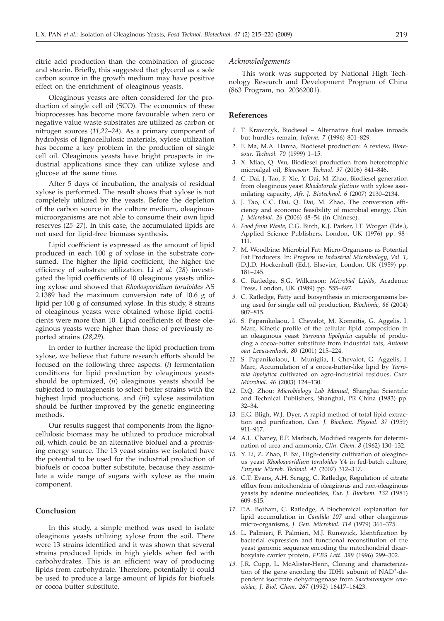citric acid production than the combination of glucose and stearin. Briefly, this suggested that glycerol as a sole carbon source in the growth medium may have positive effect on the enrichment of oleaginous yeasts.

Oleaginous yeasts are often considered for the production of single cell oil (SCO). The economics of these bioprocesses has become more favourable when zero or negative value waste substrates are utilized as carbon or nitrogen sources (*11,22–24*). As a primary component of hydrolysis of lignocellulosic materials, xylose utilization has become a key problem in the production of single cell oil. Oleaginous yeasts have bright prospects in industrial applications since they can utilize xylose and glucose at the same time.

After 5 days of incubation, the analysis of residual xylose is performed. The result shows that xylose is not completely utilized by the yeasts. Before the depletion of the carbon source in the culture medium, oleaginous microorganisms are not able to consume their own lipid reserves (*25–27*). In this case, the accumulated lipids are not used for lipid-free biomass synthesis.

Lipid coefficient is expressed as the amount of lipid produced in each 100 g of xylose in the substrate consumed. The higher the lipid coefficient, the higher the efficiency of substrate utilization. Li *et al*. (*28*) investigated the lipid coefficients of 10 oleaginous yeasts utilizing xylose and showed that *Rhodosporidium toruloides* AS 2.1389 had the maximum conversion rate of 10.6 g of lipid per 100 g of consumed xylose. In this study, 8 strains of oleaginous yeasts were obtained whose lipid coefficients were more than 10. Lipid coefficients of these oleaginous yeasts were higher than those of previously reported strains (*28,29*).

In order to further increase the lipid production from xylose, we believe that future research efforts should be focused on the following three aspects: (*i*) fermentation conditions for lipid production by oleaginous yeasts should be optimized, (*ii*) oleaginous yeasts should be subjected to mutagenesis to select better strains with the highest lipid productions, and (*iii*) xylose assimilation should be further improved by the genetic engineering methods.

Our results suggest that components from the lignocellulosic biomass may be utilized to produce microbial oil, which could be an alternative biofuel and a promising energy source. The 13 yeast strains we isolated have the potential to be used for the industrial production of biofuels or cocoa butter substitute, because they assimilate a wide range of sugars with xylose as the main component.

## **Conclusion**

In this study, a simple method was used to isolate oleaginous yeasts utilizing xylose from the soil. There were 13 strains identified and it was shown that several strains produced lipids in high yields when fed with carbohydrates. This is an efficient way of producing lipids from carbohydrate. Therefore, potentially it could be used to produce a large amount of lipids for biofuels or cocoa butter substitute.

#### *Acknowledgements*

This work was supported by National High Technology Research and Development Program of China (863 Program, no. 20362001).

## **References**

- *1.* T. Krawczyk, Biodiesel Alternative fuel makes inroads but hurdles remain, *Inform, 7* (1996) 801–829*.*
- *2.* F. Ma, M.A. Hanna, Biodiesel production: A review, *Bioresour. Technol. 70* (1999) 1–15.
- *3.* X. Miao*,* Q. Wu*,* Biodiesel production from heterotrophic microalgal oil*, Bioresour. Technol. 97* (2006) 841–846.
- *4.* C. Dai, J. Tao, F. Xie, Y. Dai, M. Zhao, Biodiesel generation from oleaginous yeast *Rhodotorula glutinis* with xylose assimilating capacity*, Afr. J. Biotechnol. 6* (2007) 2130–2134.
- *5.* J. Tao, C.C. Dai, Q. Dai, M. Zhao, The conversion efficiency and economic feasibility of microbial energy, *Chin. J. Microbiol. 26* (2006) 48–54 (in Chinese).
- *6. Food from Waste,* C.G. Birch, K.J. Parker, J.T. Worgan (Eds.), Applied Science Publishers, London, UK (1976) pp. 98– 111.
- *7.* M. Woodbine: Microbial Fat: Micro-Organisms as Potential Fat Producers*.* In: *Progress in Industrial Microbiology, Vol. 1,* D.J.D. Hockenhull (Ed.)*,* Elsevier*,* London*,* UK (1959) pp. 181–245.
- *8.* C. Ratledge, S.G. Wilkinson: *Microbial Lipids,* Academic Press*,* London*,* UK (1989) pp. 555–697.
- *9.* C. Ratledge, Fatty acid biosynthesis in microorganisms being used for single cell oil production, *Biochimie, 86* (2004) 807–815.
- *10.* S. Papanikolaou, I. Chevalot, M. Komaitis, G. Aggelis, I. Marc, Kinetic profile of the cellular lipid composition in an oleaginous yeast *Yarrowia lipolytica* capable of producing a cocoa-butter substitute from industrial fats, *Antonie van Leeuwenhoek, 80* (2001) 215–224.
- *11.* S. Papanikolaou, L. Muniglia, I. Chevalot, G. Aggelis, I. Marc, Accumulation of a cocoa-butter-like lipid by *Yarrowia lipolytica* cultivated on agro-industrial residues*, Curr*. *Microbiol*. *46* (2003) 124–130.
- *12.* D.Q. Zhou: *Microbiology Lab Manual*, Shanghai Scientific and Technical Publishers, Shanghai, PR China (1983) pp. 32–34.
- *13.* E.G. Bligh, W.J. Dyer, A rapid method of total lipid extraction and purification, *Can. J. Biochem. Physiol. 37* (1959) 911–917.
- *14.* A.L. Chaney, E.P. Marbach, Modified reagents for determination of urea and ammonia, *Clin. Chem. 8* (1962) 130–132.
- *15.* Y. Li, Z. Zhao, F. Bai, High-density cultivation of oleaginous yeast *Rhodosporidium toruloides* Y4 in fed-batch culture*, Enzyme Microb. Technol. 41* (2007) 312–317.
- *16.* C.T. Evans, A.H. Scragg, C. Ratledge, Regulation of citrate efflux from mitochondria of oleaginous and non-oleaginous yeasts by adenine nucleotides, *Eur. J. Biochem. 132* (1981) 609–615.
- *17.* P.A. Botham, C. Ratledge, A biochemical explanation for lipid accumulation in *Candida 107* and other oleaginous micro-organisms*, J. Gen. Microbiol. 114* (1979) 361–375.
- *18.* L. Palmieri, F. Palmieri, M.J. Runswick, Identification by bacterial expression and functional reconstitution of the yeast genomic sequence encoding the mitochondrial dicarboxylate carrier protein, *FEBS Lett. 399* (1996) 299–302.
- *19.* J.R. Cupp, L. McAlister-Henn, Cloning and characterization of the gene encoding the IDH1 subunit of NAD<sup>+</sup>-dependent isocitrate dehydrogenase from *Saccharomyces cerevisiae, J. Biol. Chem. 267* (1992) 16417–16423.